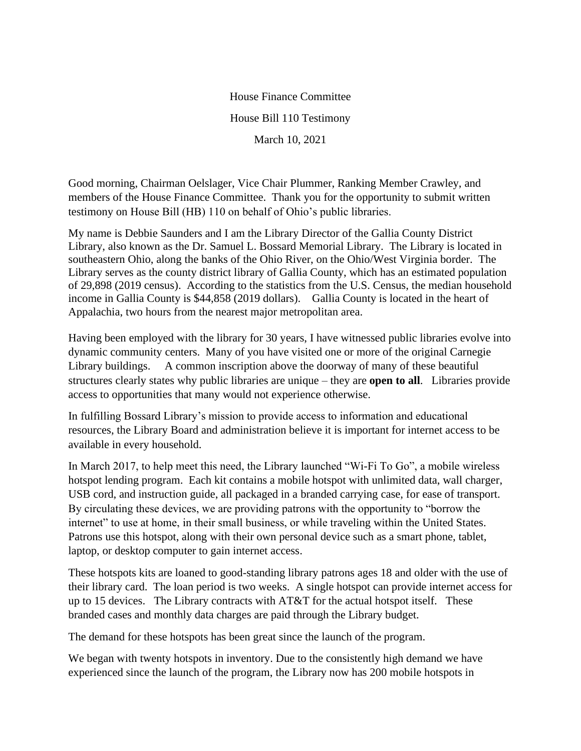House Finance Committee House Bill 110 Testimony March 10, 2021

Good morning, Chairman Oelslager, Vice Chair Plummer, Ranking Member Crawley, and members of the House Finance Committee. Thank you for the opportunity to submit written testimony on House Bill (HB) 110 on behalf of Ohio's public libraries.

My name is Debbie Saunders and I am the Library Director of the Gallia County District Library, also known as the Dr. Samuel L. Bossard Memorial Library. The Library is located in southeastern Ohio, along the banks of the Ohio River, on the Ohio/West Virginia border. The Library serves as the county district library of Gallia County, which has an estimated population of 29,898 (2019 census). According to the statistics from the U.S. Census, the median household income in Gallia County is \$44,858 (2019 dollars). Gallia County is located in the heart of Appalachia, two hours from the nearest major metropolitan area.

Having been employed with the library for 30 years, I have witnessed public libraries evolve into dynamic community centers. Many of you have visited one or more of the original Carnegie Library buildings. A common inscription above the doorway of many of these beautiful structures clearly states why public libraries are unique – they are **open to all**. Libraries provide access to opportunities that many would not experience otherwise.

In fulfilling Bossard Library's mission to provide access to information and educational resources, the Library Board and administration believe it is important for internet access to be available in every household.

In March 2017, to help meet this need, the Library launched "Wi-Fi To Go", a mobile wireless hotspot lending program. Each kit contains a mobile hotspot with unlimited data, wall charger, USB cord, and instruction guide, all packaged in a branded carrying case, for ease of transport. By circulating these devices, we are providing patrons with the opportunity to "borrow the internet" to use at home, in their small business, or while traveling within the United States. Patrons use this hotspot, along with their own personal device such as a smart phone, tablet, laptop, or desktop computer to gain internet access.

These hotspots kits are loaned to good-standing library patrons ages 18 and older with the use of their library card. The loan period is two weeks. A single hotspot can provide internet access for up to 15 devices. The Library contracts with AT&T for the actual hotspot itself. These branded cases and monthly data charges are paid through the Library budget.

The demand for these hotspots has been great since the launch of the program.

We began with twenty hotspots in inventory. Due to the consistently high demand we have experienced since the launch of the program, the Library now has 200 mobile hotspots in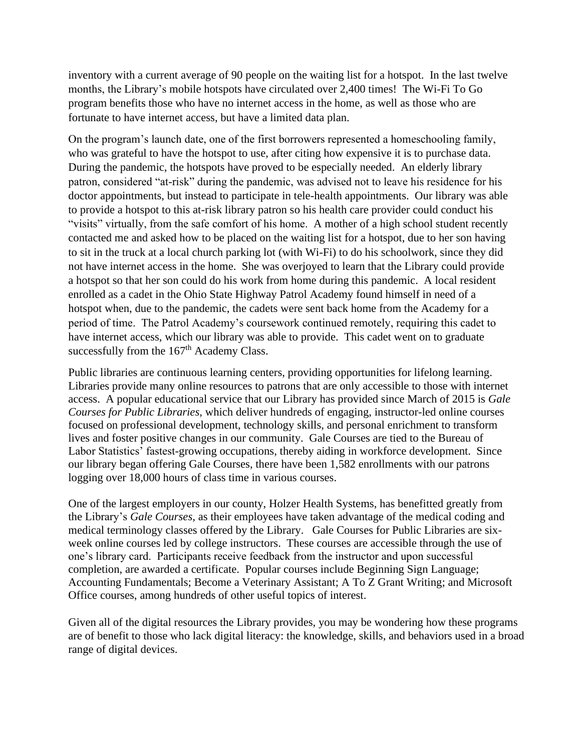inventory with a current average of 90 people on the waiting list for a hotspot. In the last twelve months, the Library's mobile hotspots have circulated over 2,400 times! The Wi-Fi To Go program benefits those who have no internet access in the home, as well as those who are fortunate to have internet access, but have a limited data plan.

On the program's launch date, one of the first borrowers represented a homeschooling family, who was grateful to have the hotspot to use, after citing how expensive it is to purchase data. During the pandemic, the hotspots have proved to be especially needed. An elderly library patron, considered "at-risk" during the pandemic, was advised not to leave his residence for his doctor appointments, but instead to participate in tele-health appointments. Our library was able to provide a hotspot to this at-risk library patron so his health care provider could conduct his "visits" virtually, from the safe comfort of his home. A mother of a high school student recently contacted me and asked how to be placed on the waiting list for a hotspot, due to her son having to sit in the truck at a local church parking lot (with Wi-Fi) to do his schoolwork, since they did not have internet access in the home. She was overjoyed to learn that the Library could provide a hotspot so that her son could do his work from home during this pandemic. A local resident enrolled as a cadet in the Ohio State Highway Patrol Academy found himself in need of a hotspot when, due to the pandemic, the cadets were sent back home from the Academy for a period of time. The Patrol Academy's coursework continued remotely, requiring this cadet to have internet access, which our library was able to provide. This cadet went on to graduate successfully from the  $167<sup>th</sup>$  Academy Class.

Public libraries are continuous learning centers, providing opportunities for lifelong learning. Libraries provide many online resources to patrons that are only accessible to those with internet access. A popular educational service that our Library has provided since March of 2015 is *Gale Courses for Public Libraries,* which deliver hundreds of engaging, instructor-led online courses focused on professional development, technology skills, and personal enrichment to transform lives and foster positive changes in our community. Gale Courses are tied to the Bureau of Labor Statistics' fastest-growing occupations, thereby aiding in workforce development. Since our library began offering Gale Courses, there have been 1,582 enrollments with our patrons logging over 18,000 hours of class time in various courses.

One of the largest employers in our county, Holzer Health Systems, has benefitted greatly from the Library's *Gale Courses,* as their employees have taken advantage of the medical coding and medical terminology classes offered by the Library. Gale Courses for Public Libraries are sixweek online courses led by college instructors. These courses are accessible through the use of one's library card. Participants receive feedback from the instructor and upon successful completion, are awarded a certificate. Popular courses include Beginning Sign Language; Accounting Fundamentals; Become a Veterinary Assistant; A To Z Grant Writing; and Microsoft Office courses, among hundreds of other useful topics of interest.

Given all of the digital resources the Library provides, you may be wondering how these programs are of benefit to those who lack digital literacy: the knowledge, skills, and behaviors used in a broad range of digital devices.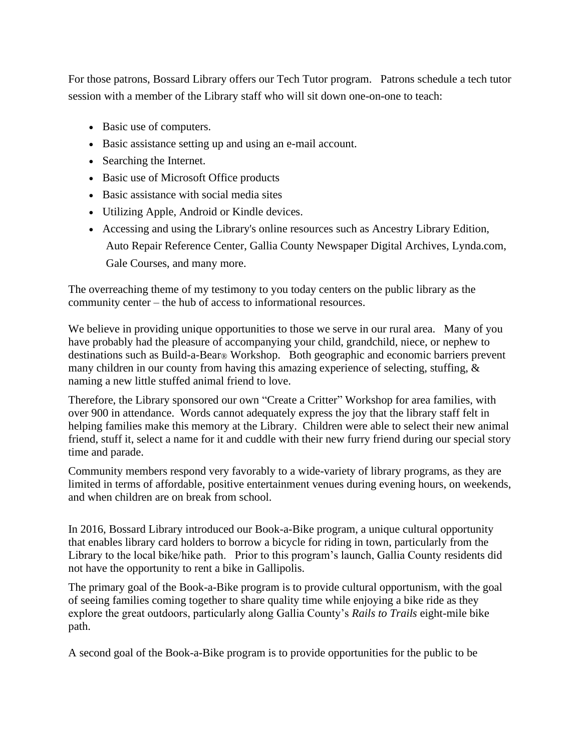For those patrons, Bossard Library offers our Tech Tutor program. Patrons schedule a tech tutor session with a member of the Library staff who will sit down one-on-one to teach:

- Basic use of computers.
- Basic assistance setting up and using an e-mail account.
- Searching the Internet.
- Basic use of Microsoft Office products
- Basic assistance with social media sites
- Utilizing Apple, Android or Kindle devices.
- Accessing and using the Library's online resources such as Ancestry Library Edition, Auto Repair Reference Center, Gallia County Newspaper Digital Archives, Lynda.com, Gale Courses, and many more.

The overreaching theme of my testimony to you today centers on the public library as the community center – the hub of access to informational resources.

We believe in providing unique opportunities to those we serve in our rural area. Many of you have probably had the pleasure of accompanying your child, grandchild, niece, or nephew to destinations such as Build-a-Bear® Workshop. Both geographic and economic barriers prevent many children in our county from having this amazing experience of selecting, stuffing, & naming a new little stuffed animal friend to love.

Therefore, the Library sponsored our own "Create a Critter" Workshop for area families, with over 900 in attendance. Words cannot adequately express the joy that the library staff felt in helping families make this memory at the Library. Children were able to select their new animal friend, stuff it, select a name for it and cuddle with their new furry friend during our special story time and parade.

Community members respond very favorably to a wide-variety of library programs, as they are limited in terms of affordable, positive entertainment venues during evening hours, on weekends, and when children are on break from school.

In 2016, Bossard Library introduced our Book-a-Bike program, a unique cultural opportunity that enables library card holders to borrow a bicycle for riding in town, particularly from the Library to the local bike/hike path. Prior to this program's launch, Gallia County residents did not have the opportunity to rent a bike in Gallipolis.

The primary goal of the Book-a-Bike program is to provide cultural opportunism, with the goal of seeing families coming together to share quality time while enjoying a bike ride as they explore the great outdoors, particularly along Gallia County's *Rails to Trails* eight-mile bike path.

A second goal of the Book-a-Bike program is to provide opportunities for the public to be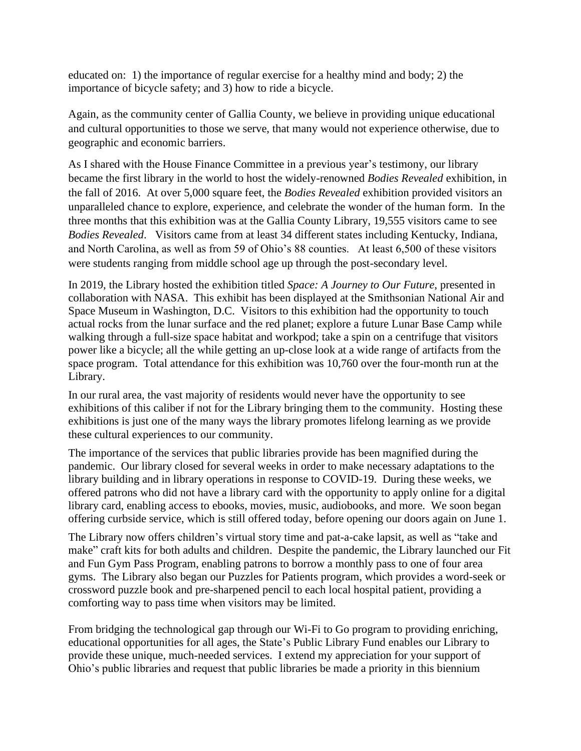educated on: 1) the importance of regular exercise for a healthy mind and body; 2) the importance of bicycle safety; and 3) how to ride a bicycle.

Again, as the community center of Gallia County, we believe in providing unique educational and cultural opportunities to those we serve, that many would not experience otherwise, due to geographic and economic barriers.

As I shared with the House Finance Committee in a previous year's testimony, our library became the first library in the world to host the widely-renowned *Bodies Revealed* exhibition, in the fall of 2016. At over 5,000 square feet, the *Bodies Revealed* exhibition provided visitors an unparalleled chance to explore, experience, and celebrate the wonder of the human form. In the three months that this exhibition was at the Gallia County Library, 19,555 visitors came to see *Bodies Revealed*. Visitors came from at least 34 different states including Kentucky, Indiana, and North Carolina, as well as from 59 of Ohio's 88 counties. At least 6,500 of these visitors were students ranging from middle school age up through the post-secondary level.

In 2019, the Library hosted the exhibition titled *Space: A Journey to Our Future*, presented in collaboration with NASA. This exhibit has been displayed at the Smithsonian National Air and Space Museum in Washington, D.C. Visitors to this exhibition had the opportunity to touch actual rocks from the lunar surface and the red planet; explore a future Lunar Base Camp while walking through a full-size space habitat and workpod; take a spin on a centrifuge that visitors power like a bicycle; all the while getting an up-close look at a wide range of artifacts from the space program. Total attendance for this exhibition was 10,760 over the four-month run at the Library.

In our rural area, the vast majority of residents would never have the opportunity to see exhibitions of this caliber if not for the Library bringing them to the community. Hosting these exhibitions is just one of the many ways the library promotes lifelong learning as we provide these cultural experiences to our community.

The importance of the services that public libraries provide has been magnified during the pandemic. Our library closed for several weeks in order to make necessary adaptations to the library building and in library operations in response to COVID-19. During these weeks, we offered patrons who did not have a library card with the opportunity to apply online for a digital library card, enabling access to ebooks, movies, music, audiobooks, and more. We soon began offering curbside service, which is still offered today, before opening our doors again on June 1.

The Library now offers children's virtual story time and pat-a-cake lapsit, as well as "take and make" craft kits for both adults and children. Despite the pandemic, the Library launched our Fit and Fun Gym Pass Program, enabling patrons to borrow a monthly pass to one of four area gyms. The Library also began our Puzzles for Patients program, which provides a word-seek or crossword puzzle book and pre-sharpened pencil to each local hospital patient, providing a comforting way to pass time when visitors may be limited.

From bridging the technological gap through our Wi-Fi to Go program to providing enriching, educational opportunities for all ages, the State's Public Library Fund enables our Library to provide these unique, much-needed services. I extend my appreciation for your support of Ohio's public libraries and request that public libraries be made a priority in this biennium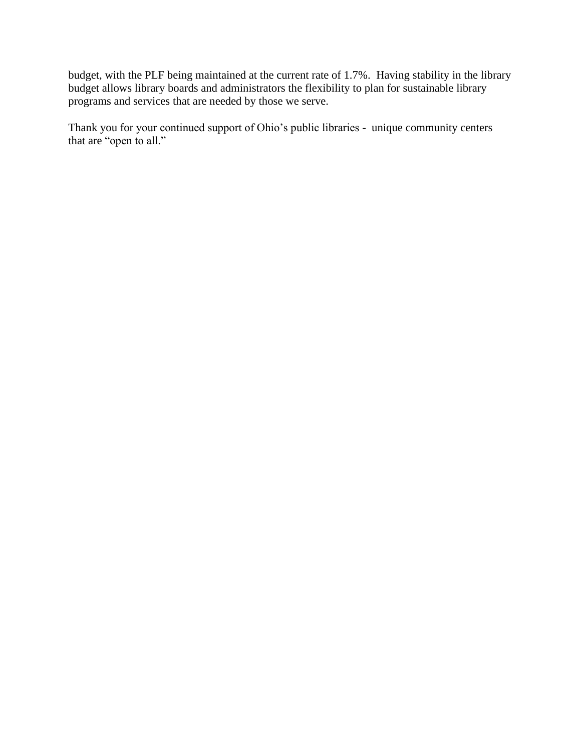budget, with the PLF being maintained at the current rate of 1.7%. Having stability in the library budget allows library boards and administrators the flexibility to plan for sustainable library programs and services that are needed by those we serve.

Thank you for your continued support of Ohio's public libraries - unique community centers that are "open to all."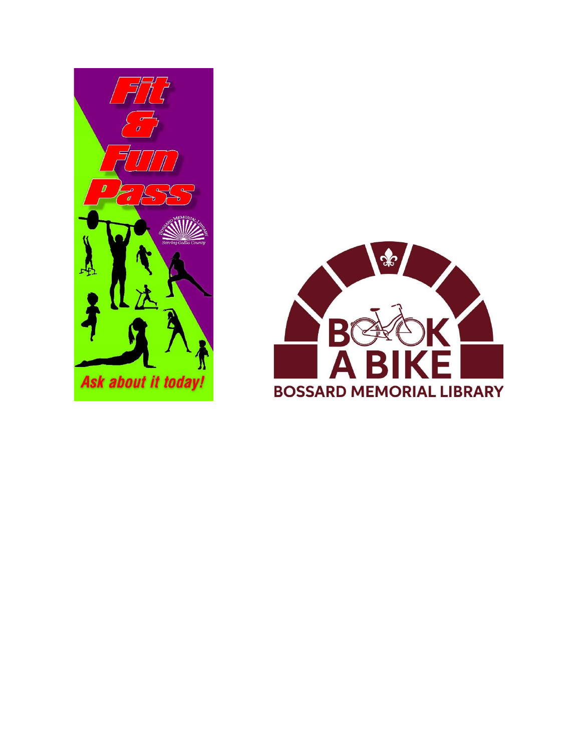